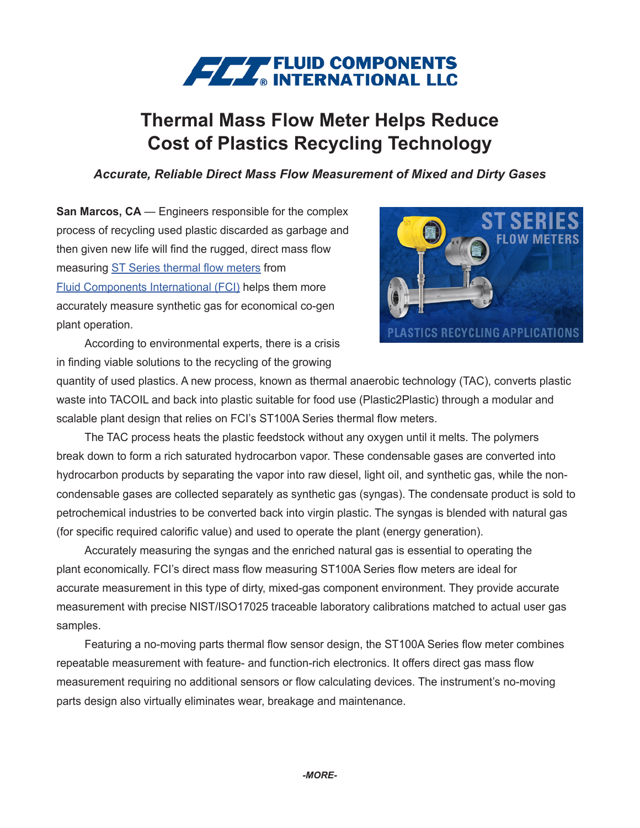## **FEET** FLUID COMPONENTS

## **Thermal Mass Flow Meter Helps Reduce Cost of Plastics Recycling Technology**

## *Accurate, Reliable Direct Mass Flow Measurement of Mixed and Dirty Gases*

**San Marcos, CA** — Engineers responsible for the complex process of recycling used plastic discarded as garbage and then given new life will find the rugged, direct mass flow measuring [ST Series thermal flow meters](https://www.fluidcomponents.com/products/mass-flow-meters) from [Fluid Components International \(FCI\)](https://www.fluidcomponents.com/) helps them more accurately measure synthetic gas for economical co-gen plant operation.



According to environmental experts, there is a crisis in finding viable solutions to the recycling of the growing

quantity of used plastics. A new process, known as thermal anaerobic technology (TAC), converts plastic waste into TACOIL and back into plastic suitable for food use (Plastic2Plastic) through a modular and scalable plant design that relies on FCI's ST100A Series thermal flow meters.

The TAC process heats the plastic feedstock without any oxygen until it melts. The polymers break down to form a rich saturated hydrocarbon vapor. These condensable gases are converted into hydrocarbon products by separating the vapor into raw diesel, light oil, and synthetic gas, while the noncondensable gases are collected separately as synthetic gas (syngas). The condensate product is sold to petrochemical industries to be converted back into virgin plastic. The syngas is blended with natural gas (for specific required calorific value) and used to operate the plant (energy generation).

Accurately measuring the syngas and the enriched natural gas is essential to operating the plant economically. FCI's direct mass flow measuring ST100A Series flow meters are ideal for accurate measurement in this type of dirty, mixed-gas component environment. They provide accurate measurement with precise NIST/ISO17025 traceable laboratory calibrations matched to actual user gas samples.

Featuring a no-moving parts thermal flow sensor design, the ST100A Series flow meter combines repeatable measurement with feature- and function-rich electronics. It offers direct gas mass flow measurement requiring no additional sensors or flow calculating devices. The instrument's no-moving parts design also virtually eliminates wear, breakage and maintenance.